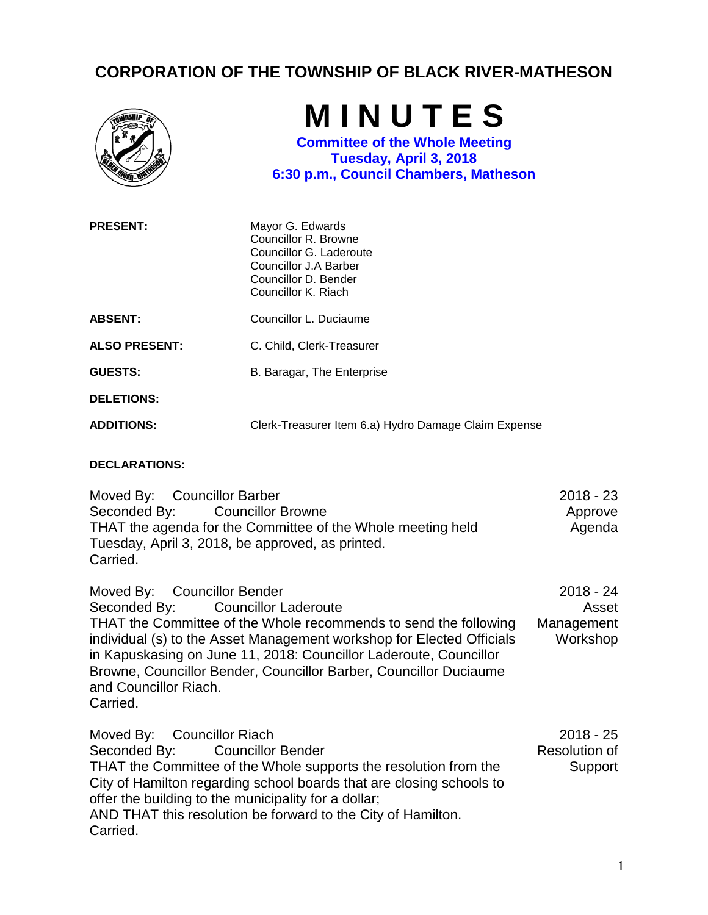## **CORPORATION OF THE TOWNSHIP OF BLACK RIVER-MATHESON**



**M I N U T E S**

**Committee of the Whole Meeting Tuesday, April 3, 2018 6:30 p.m., Council Chambers, Matheson**

| <b>PRESENT:</b>      | Mayor G. Edwards<br>Councillor R. Browne<br>Councillor G. Laderoute<br>Councillor J.A Barber<br>Councillor D. Bender<br>Councillor K. Riach |
|----------------------|---------------------------------------------------------------------------------------------------------------------------------------------|
| <b>ABSENT:</b>       | Councillor L. Duciaume                                                                                                                      |
| <b>ALSO PRESENT:</b> | C. Child, Clerk-Treasurer                                                                                                                   |
| <b>GUESTS:</b>       | B. Baragar, The Enterprise                                                                                                                  |
| <b>DELETIONS:</b>    |                                                                                                                                             |
| <b>ADDITIONS:</b>    | Clerk-Treasurer Item 6.a) Hydro Damage Claim Expense                                                                                        |

## **DECLARATIONS:**

Moved By: Councillor Barber Seconded By: Councillor Browne THAT the agenda for the Committee of the Whole meeting held Tuesday, April 3, 2018, be approved, as printed. Carried. 2018 - 23 Approve Agenda

Moved By: Councillor Bender Seconded By: Councillor Laderoute THAT the Committee of the Whole recommends to send the following individual (s) to the Asset Management workshop for Elected Officials in Kapuskasing on June 11, 2018: Councillor Laderoute, Councillor Browne, Councillor Bender, Councillor Barber, Councillor Duciaume and Councillor Riach. Carried. 2018 - 24 Asset Management Workshop

Moved By: Councillor Riach Seconded By: Councillor Bender THAT the Committee of the Whole supports the resolution from the City of Hamilton regarding school boards that are closing schools to offer the building to the municipality for a dollar; AND THAT this resolution be forward to the City of Hamilton. Carried. 2018 - 25 Resolution of **Support**